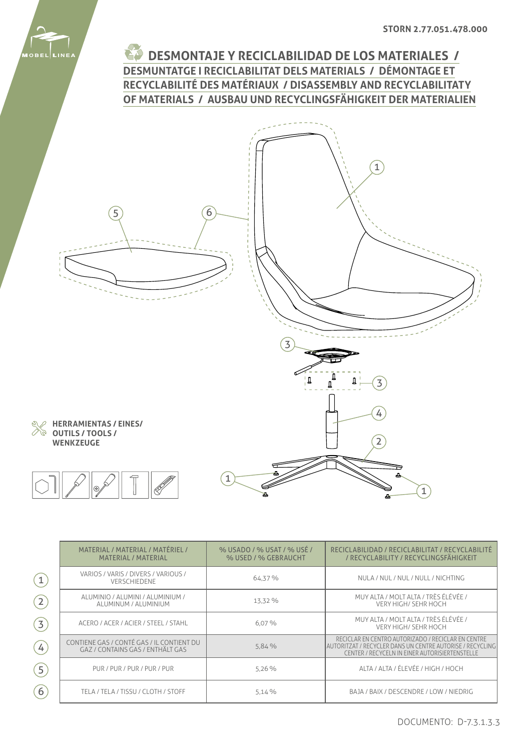

**DESMONTAJE Y RECICLABILIDAD DE LOS MATERIALES / DESMUNTATGE I RECICLABILITAT DELS MATERIALS / DÉMONTAGE ET RECYCLABILITÉ DES MATÉRIAUX / DISASSEMBLY AND RECYCLABILITATY OF MATERIALS / AUSBAU UND RECYCLINGSFÄHIGKEIT DER MATERIALIEN**



|                   | MATERIAL / MATERIAL / MATÉRIEL /<br><b>MATERIAL / MATERIAL</b>                | % USADO / % USAT / % USÉ /<br>% USED / % GEBRAUCHT | RECICLABILIDAD / RECICLABILITAT / RECYCLABILITÉ<br>/ RECYCLABILITY / RECYCLINGSFÄHIGKEIT                                                                            |
|-------------------|-------------------------------------------------------------------------------|----------------------------------------------------|---------------------------------------------------------------------------------------------------------------------------------------------------------------------|
| $\mathbf{1}$      | VARIOS / VARIS / DIVERS / VARIOUS /<br>VERSCHIEDENE                           | 64.37 %                                            | NULA / NUL / NUL / NULL / NICHTING                                                                                                                                  |
| $\boxed{2}$       | ALUMINIO / ALUMINI / ALUMINIUM /<br>ALUMINUM / ALUMINIUM                      | 13.32 %                                            | MUY ALTA / MOLT ALTA / TRÈS ÉLÉVÉE /<br>VERY HIGH/ SEHR HOCH                                                                                                        |
| $\left( 3\right)$ | ACERO / ACER / ACIER / STEEL / STAHL                                          | 6.07%                                              | MUY ALTA / MOLT ALTA / TRÈS ÉLÉVÉE /<br>VERY HIGH/ SEHR HOCH                                                                                                        |
| $\left( 4\right)$ | CONTIENE GAS / CONTÉ GAS / IL CONTIENT DU<br>GAZ / CONTAINS GAS / ENTHÄLT GAS | 5,84%                                              | RECICLAR EN CENTRO AUTORIZADO / RECICLAR EN CENTRE<br>AUTORITZAT / RECYCLER DANS UN CENTRE AUTORISE / RECYCLING  <br>CENTER / RECYCELN IN EINER AUTORISIERTENSTELLE |
| $\boxed{5}$       | PUR / PUR / PUR / PUR / PUR                                                   | 5.26%                                              | ALTA / ALTA / ÉLEVÉE / HIGH / HOCH                                                                                                                                  |
| 6                 | TELA / TELA / TISSU / CLOTH / STOFF                                           | 5.14%                                              | BAJA / BAIX / DESCENDRE / LOW / NIEDRIG                                                                                                                             |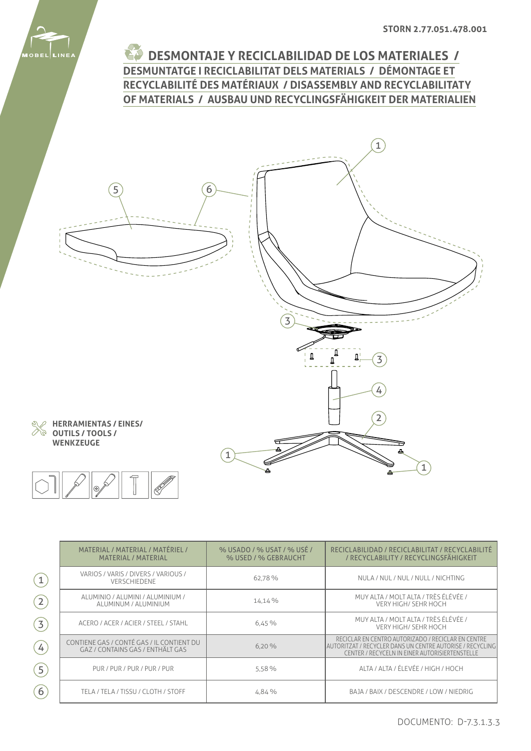

**DESMONTAJE Y RECICLABILIDAD DE LOS MATERIALES / DESMUNTATGE I RECICLABILITAT DELS MATERIALS / DÉMONTAGE ET RECYCLABILITÉ DES MATÉRIAUX / DISASSEMBLY AND RECYCLABILITATY OF MATERIALS / AUSBAU UND RECYCLINGSFÄHIGKEIT DER MATERIALIEN**



|                   | MATERIAL / MATERIAL / MATÉRIEL /<br><b>MATERIAL / MATERIAL</b>                | % USADO / % USAT / % USÉ /<br>% USED / % GEBRAUCHT | RECICLABILIDAD / RECICLABILITAT / RECYCLABILITÉ<br>/ RECYCLABILITY / RECYCLINGSFÄHIGKEIT                                                                            |
|-------------------|-------------------------------------------------------------------------------|----------------------------------------------------|---------------------------------------------------------------------------------------------------------------------------------------------------------------------|
| $\left( 1\right)$ | VARIOS / VARIS / DIVERS / VARIOUS /<br><b>VERSCHIEDENE</b>                    | 62.78%                                             | NULA / NUL / NUL / NULL / NICHTING                                                                                                                                  |
| $\left( 2\right)$ | ALUMINIO / ALUMINI / ALUMINIUM /<br>ALUMINUM / ALUMINIUM                      | 14,14%                                             | MUY ALTA / MOLT ALTA / TRÈS ÉLÉVÉE /<br>VERY HIGH/ SEHR HOCH                                                                                                        |
| (3)               | ACERO / ACER / ACIER / STEEL / STAHL                                          | 6,45%                                              | MUY ALTA / MOLT ALTA / TRÈS ÉLÉVÉE /<br><b>VERY HIGH/ SEHR HOCH</b>                                                                                                 |
| $\left( 4\right)$ | CONTIENE GAS / CONTÉ GAS / IL CONTIENT DU<br>GAZ / CONTAINS GAS / ENTHÄLT GAS | 6,20%                                              | RECICLAR EN CENTRO AUTORIZADO / RECICLAR EN CENTRE<br> AUTORITZAT / RECYCLER DANS UN CENTRE AUTORISE / RECYCLING <br>CENTER / RECYCELN IN EINER AUTORISIERTENSTELLE |
| (5)               | PUR / PUR / PUR / PUR / PUR                                                   | 5.58%                                              | ALTA / ALTA / ÉLEVÉE / HIGH / HOCH                                                                                                                                  |
| $\left( 6\right)$ | TELA / TELA / TISSU / CLOTH / STOFF                                           | 4,84 %                                             | BAJA / BAIX / DESCENDRE / LOW / NIEDRIG                                                                                                                             |